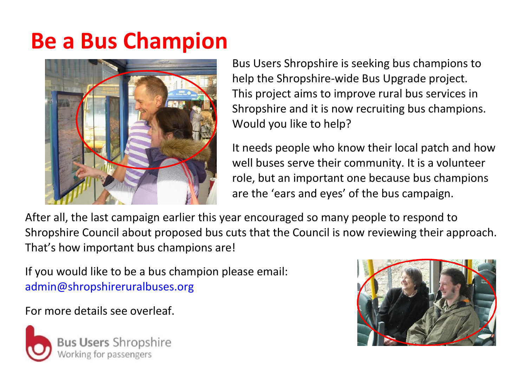## **Be a Bus Champion**



Bus Users Shropshire is seeking bus champions to help the Shropshire-wide Bus Upgrade project. This project aims to improve rural bus services in Shropshire and it is now recruiting bus champions. Would you like to help?

It needs people who know their local patch and how well buses serve their community. It is a volunteer role, but an important one because bus champions are the 'ears and eyes' of the bus campaign.

After all, the last campaign earlier this year encouraged so many people to respond to Shropshire Council about proposed bus cuts that the Council is now reviewing their approach. That's how important bus champions are!

If you would like to be a bus champion please email: [admin@shropshireruralbuses.org](mailto:admin@shropshireruralbuses.org)

For more details see overleaf.